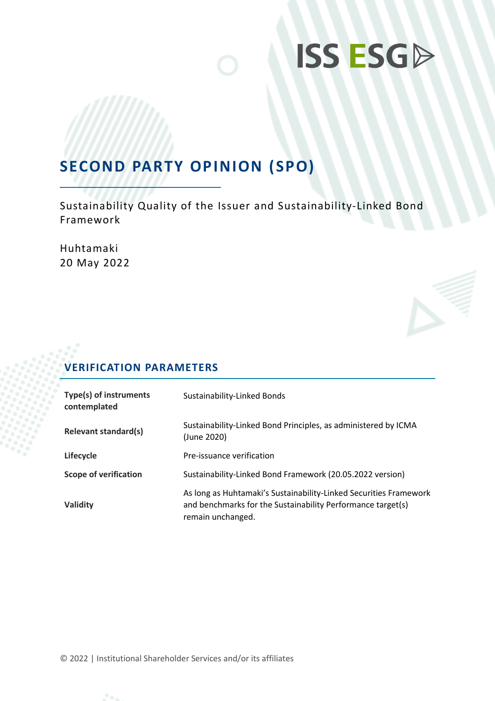## **SECOND PARTY OPINION (SPO)**

Sustainability Quality of the Issuer and Sustainability-Linked Bond Framework

Huhtamaki 20 May 2022

## **VERIFICATION PARAMETERS**

| Type(s) of instruments<br>contemplated | Sustainability-Linked Bonds                                                                                                                           |
|----------------------------------------|-------------------------------------------------------------------------------------------------------------------------------------------------------|
| <b>Relevant standard(s)</b>            | Sustainability-Linked Bond Principles, as administered by ICMA<br>(June 2020)                                                                         |
| Lifecycle                              | Pre-issuance verification                                                                                                                             |
| <b>Scope of verification</b>           | Sustainability-Linked Bond Framework (20.05.2022 version)                                                                                             |
| Validity                               | As long as Huhtamaki's Sustainability-Linked Securities Framework<br>and benchmarks for the Sustainability Performance target(s)<br>remain unchanged. |

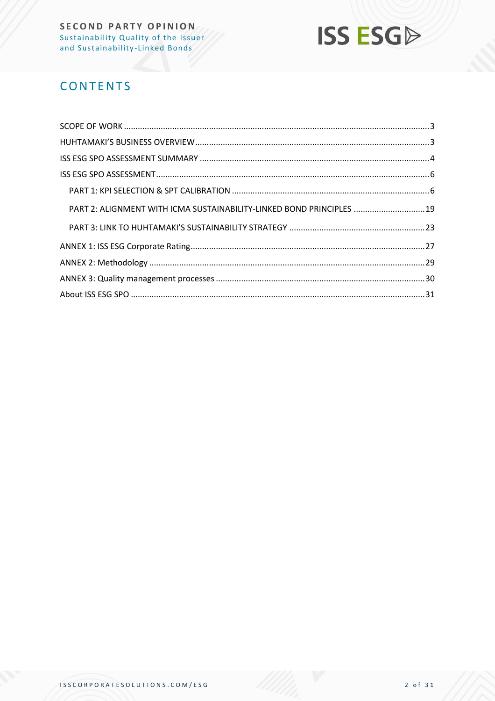## **ISS ESG**

## **CONTENTS**

| PART 2: ALIGNMENT WITH ICMA SUSTAINABILITY-LINKED BOND PRINCIPLES  19 |  |
|-----------------------------------------------------------------------|--|
|                                                                       |  |
|                                                                       |  |
|                                                                       |  |
|                                                                       |  |
|                                                                       |  |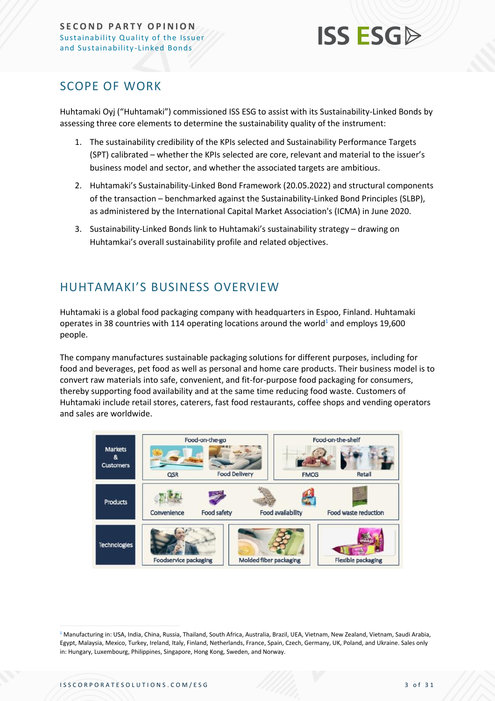

### <span id="page-2-0"></span>SCOPE OF WORK

Huhtamaki Oyj ("Huhtamaki") commissioned ISS ESG to assist with its Sustainability-Linked Bonds by assessing three core elements to determine the sustainability quality of the instrument:

- 1. The sustainability credibility of the KPIs selected and Sustainability Performance Targets (SPT) calibrated – whether the KPIs selected are core, relevant and material to the issuer's business model and sector, and whether the associated targets are ambitious.
- 2. Huhtamaki's Sustainability-Linked Bond Framework (20.05.2022) and structural components of the transaction – benchmarked against the Sustainability-Linked Bond Principles (SLBP), as administered by the International Capital Market Association's (ICMA) in June 2020.
- 3. Sustainability-Linked Bonds link to Huhtamaki's sustainability strategy drawing on Huhtamkai's overall sustainability profile and related objectives.

## <span id="page-2-1"></span>HUHTAMAKI'S BUSINESS OVERVIEW

Huhtamaki is a global food packaging company with headquarters in Espoo, Finland. Huhtamaki operates in 38 countries with 114 operating locations around the world<sup>1</sup> and employs 19,600 people.

The company manufactures sustainable packaging solutions for different purposes, including for food and beverages, pet food as well as personal and home care products. Their business model is to convert raw materials into safe, convenient, and fit-for-purpose food packaging for consumers, thereby supporting food availability and at the same time reducing food waste. Customers of Huhtamaki include retail stores, caterers, fast food restaurants, coffee shops and vending operators and sales are worldwide.



<sup>&</sup>lt;sup>1</sup> Manufacturing in: USA, India, China, Russia, Thailand, South Africa, Australia, Brazil, UEA, Vietnam, New Zealand, Vietnam, Saudi Arabia, Egypt, Malaysia, Mexico, Turkey, Ireland, Italy, Finland, Netherlands, France, Spain, Czech, Germany, UK, Poland, and Ukraine. Sales only in: Hungary, Luxembourg, Philippines, Singapore, Hong Kong, Sweden, and Norway.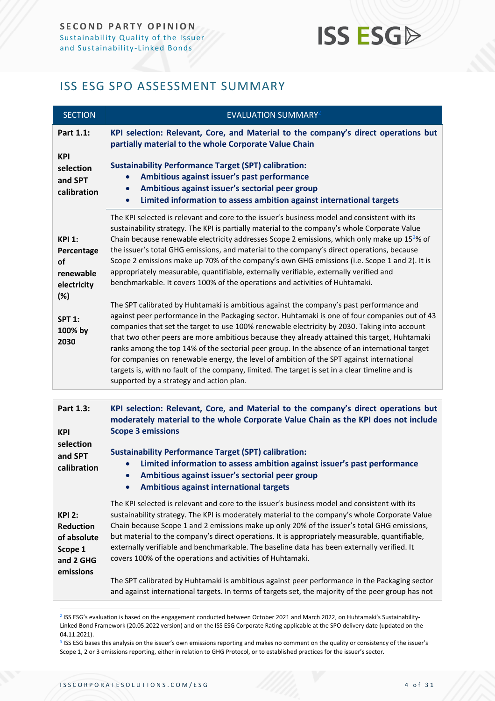### <span id="page-3-0"></span>ISS ESG SPO ASSESSMENT SUMMARY

| <b>SECTION</b>                                                                                                  | <b>EVALUATION SUMMARY2</b>                                                                                                                                                                                                                                                                                                                                                                                                                                                                                                                                                                                                                                                                                                                                                                                                                                                                                                                                                                                                                                                                                                                                                                                                                                                                                                                                                                                                   |
|-----------------------------------------------------------------------------------------------------------------|------------------------------------------------------------------------------------------------------------------------------------------------------------------------------------------------------------------------------------------------------------------------------------------------------------------------------------------------------------------------------------------------------------------------------------------------------------------------------------------------------------------------------------------------------------------------------------------------------------------------------------------------------------------------------------------------------------------------------------------------------------------------------------------------------------------------------------------------------------------------------------------------------------------------------------------------------------------------------------------------------------------------------------------------------------------------------------------------------------------------------------------------------------------------------------------------------------------------------------------------------------------------------------------------------------------------------------------------------------------------------------------------------------------------------|
| Part 1.1:<br><b>KPI</b>                                                                                         | KPI selection: Relevant, Core, and Material to the company's direct operations but<br>partially material to the whole Corporate Value Chain                                                                                                                                                                                                                                                                                                                                                                                                                                                                                                                                                                                                                                                                                                                                                                                                                                                                                                                                                                                                                                                                                                                                                                                                                                                                                  |
| selection<br>and SPT<br>calibration                                                                             | <b>Sustainability Performance Target (SPT) calibration:</b><br>Ambitious against issuer's past performance<br>Ambitious against issuer's sectorial peer group<br>Limited information to assess ambition against international targets                                                                                                                                                                                                                                                                                                                                                                                                                                                                                                                                                                                                                                                                                                                                                                                                                                                                                                                                                                                                                                                                                                                                                                                        |
| <b>KPI 1:</b><br>Percentage<br><b>of</b><br>renewable<br>electricity<br>(%)<br><b>SPT 1:</b><br>100% by<br>2030 | The KPI selected is relevant and core to the issuer's business model and consistent with its<br>sustainability strategy. The KPI is partially material to the company's whole Corporate Value<br>Chain because renewable electricity addresses Scope 2 emissions, which only make up 15 <sup>3</sup> % of<br>the issuer's total GHG emissions, and material to the company's direct operations, because<br>Scope 2 emissions make up 70% of the company's own GHG emissions (i.e. Scope 1 and 2). It is<br>appropriately measurable, quantifiable, externally verifiable, externally verified and<br>benchmarkable. It covers 100% of the operations and activities of Huhtamaki.<br>The SPT calibrated by Huhtamaki is ambitious against the company's past performance and<br>against peer performance in the Packaging sector. Huhtamaki is one of four companies out of 43<br>companies that set the target to use 100% renewable electricity by 2030. Taking into account<br>that two other peers are more ambitious because they already attained this target, Huhtamaki<br>ranks among the top 14% of the sectorial peer group. In the absence of an international target<br>for companies on renewable energy, the level of ambition of the SPT against international<br>targets is, with no fault of the company, limited. The target is set in a clear timeline and is<br>supported by a strategy and action plan. |
|                                                                                                                 |                                                                                                                                                                                                                                                                                                                                                                                                                                                                                                                                                                                                                                                                                                                                                                                                                                                                                                                                                                                                                                                                                                                                                                                                                                                                                                                                                                                                                              |
| Part 1.3:<br><b>KPI</b>                                                                                         | KPI selection: Relevant, Core, and Material to the company's direct operations but<br>moderately material to the whole Corporate Value Chain as the KPI does not include<br><b>Scope 3 emissions</b>                                                                                                                                                                                                                                                                                                                                                                                                                                                                                                                                                                                                                                                                                                                                                                                                                                                                                                                                                                                                                                                                                                                                                                                                                         |
| selection<br>and SPT                                                                                            | <b>Sustainability Performance Target (SPT) calibration:</b>                                                                                                                                                                                                                                                                                                                                                                                                                                                                                                                                                                                                                                                                                                                                                                                                                                                                                                                                                                                                                                                                                                                                                                                                                                                                                                                                                                  |

• **Limited information to assess ambition against issuer's past performance**

• **Ambitious against issuer's sectorial peer group**

• **Ambitious against international targets**

**KPI 2: Reduction of absolute Scope 1 and 2 GHG emissions** The KPI selected is relevant and core to the issuer's business model and consistent with its sustainability strategy. The KPI is moderately material to the company's whole Corporate Value Chain because Scope 1 and 2 emissions make up only 20% of the issuer's total GHG emissions, but material to the company's direct operations. It is appropriately measurable, quantifiable, externally verifiable and benchmarkable. The baseline data has been externally verified. It covers 100% of the operations and activities of Huhtamaki. The SPT calibrated by Huhtamaki is ambitious against peer performance in the Packaging sector and against international targets. In terms of targets set, the majority of the peer group has not

2 ISS ESG's evaluation is based on the engagement conducted between October 2021 and March 2022, on Huhtamaki's Sustainability-Linked Bond Framework (20.05.2022 version) and on the ISS ESG Corporate Rating applicable at the SPO delivery date (updated on the 04.11.2021).

<sup>3</sup> ISS ESG bases this analysis on the issuer's own emissions reporting and makes no comment on the quality or consistency of the issuer's Scope 1, 2 or 3 emissions reporting, either in relation to GHG Protocol, or to established practices for the issuer's sector.

**calibration**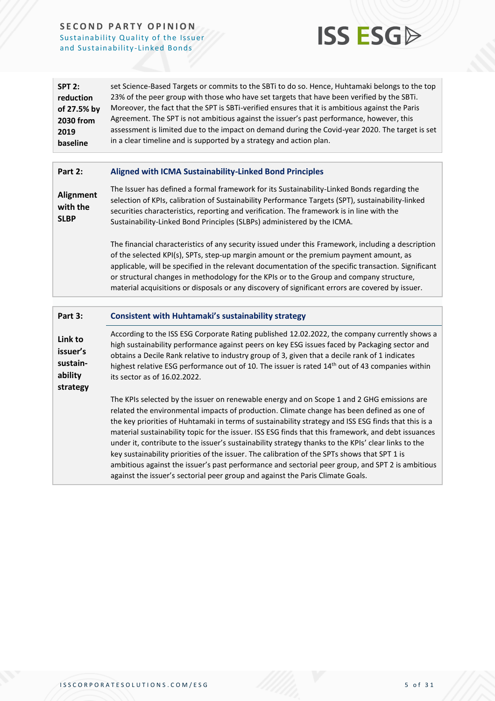

| SPT 2:      | set Science-Based Targets or commits to the SBTi to do so. Hence, Huhtamaki belongs to the top  |
|-------------|-------------------------------------------------------------------------------------------------|
| reduction   | 23% of the peer group with those who have set targets that have been verified by the SBTi.      |
| of 27.5% by | Moreover, the fact that the SPT is SBTi-verified ensures that it is ambitious against the Paris |
| 2030 from   | Agreement. The SPT is not ambitious against the issuer's past performance, however, this        |
| 2019        | assessment is limited due to the impact on demand during the Covid-year 2020. The target is set |
| baseline    | in a clear timeline and is supported by a strategy and action plan.                             |

#### **Part 2: Aligned with ICMA Sustainability-Linked Bond Principles**

**Alignment with the SLBP** The Issuer has defined a formal framework for its Sustainability-Linked Bonds regarding the selection of KPIs, calibration of Sustainability Performance Targets (SPT), sustainability-linked securities characteristics, reporting and verification. The framework is in line with the Sustainability-Linked Bond Principles (SLBPs) administered by the ICMA.

> The financial characteristics of any security issued under this Framework, including a description of the selected KPI(s), SPTs, step-up margin amount or the premium payment amount, as applicable, will be specified in the relevant documentation of the specific transaction. Significant or structural changes in methodology for the KPIs or to the Group and company structure, material acquisitions or disposals or any discovery of significant errors are covered by issuer.

#### **Part 3: Consistent with Huhtamaki's sustainability strategy**

**Link to issuer's sustainability strategy** According to the ISS ESG Corporate Rating published 12.02.2022, the company currently shows a high sustainability performance against peers on key ESG issues faced by Packaging sector and obtains a Decile Rank relative to industry group of 3, given that a decile rank of 1 indicates highest relative ESG performance out of 10. The issuer is rated  $14<sup>th</sup>$  out of 43 companies within its sector as of 16.02.2022.

> The KPIs selected by the issuer on renewable energy and on Scope 1 and 2 GHG emissions are related the environmental impacts of production. Climate change has been defined as one of the key priorities of Huhtamaki in terms of sustainability strategy and ISS ESG finds that this is a material sustainability topic for the issuer. ISS ESG finds that this framework, and debt issuances under it, contribute to the issuer's sustainability strategy thanks to the KPIs' clear links to the key sustainability priorities of the issuer. The calibration of the SPTs shows that SPT 1 is ambitious against the issuer's past performance and sectorial peer group, and SPT 2 is ambitious against the issuer's sectorial peer group and against the Paris Climate Goals.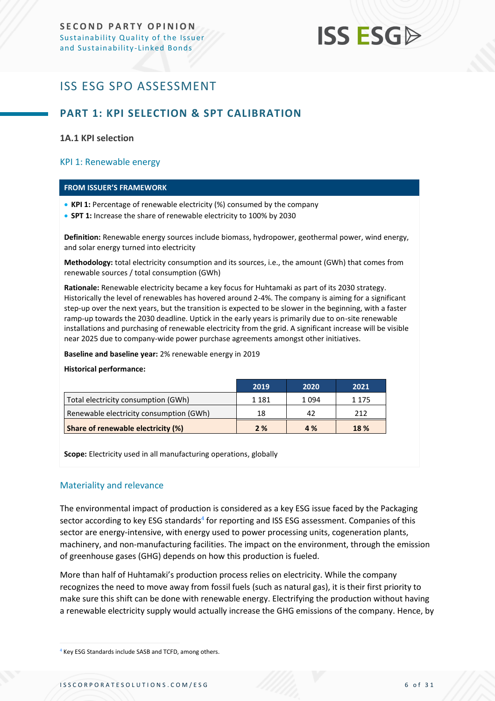## <span id="page-5-0"></span>ISS ESG SPO ASSESSMENT

### <span id="page-5-1"></span>**PART 1: KPI SELECTION & SPT CALIBRATION**

#### **1A.1 KPI selection**

#### KPI 1: Renewable energy

#### **FROM ISSUER'S FRAMEWORK**

- **KPI 1:** Percentage of renewable electricity (%) consumed by the company
- **SPT 1:** Increase the share of renewable electricity to 100% by 2030

**Definition:** Renewable energy sources include biomass, hydropower, geothermal power, wind energy, and solar energy turned into electricity

**Methodology:** total electricity consumption and its sources, i.e., the amount (GWh) that comes from renewable sources / total consumption (GWh)

**Rationale:** Renewable electricity became a key focus for Huhtamaki as part of its 2030 strategy. Historically the level of renewables has hovered around 2-4%. The company is aiming for a significant step-up over the next years, but the transition is expected to be slower in the beginning, with a faster ramp-up towards the 2030 deadline. Uptick in the early years is primarily due to on-site renewable installations and purchasing of renewable electricity from the grid. A significant increase will be visible near 2025 due to company-wide power purchase agreements amongst other initiatives.

**Baseline and baseline year:** 2% renewable energy in 2019

#### **Historical performance:**

|                                         | 2019    | 2020 | 2021    |
|-----------------------------------------|---------|------|---------|
| Total electricity consumption (GWh)     | 1 1 8 1 | 1094 | 1 1 7 5 |
| Renewable electricity consumption (GWh) | 18      | 42   | 212     |
| Share of renewable electricity (%)      | 2%      | 4 %  | 18 %    |

**Scope:** Electricity used in all manufacturing operations, globally

#### Materiality and relevance

The environmental impact of production is considered as a key ESG issue faced by the Packaging sector according to key ESG standards<sup>4</sup> for reporting and ISS ESG assessment. Companies of this sector are energy-intensive, with energy used to power processing units, cogeneration plants, machinery, and non-manufacturing facilities. The impact on the environment, through the emission of greenhouse gases (GHG) depends on how this production is fueled.

More than half of Huhtamaki's production process relies on electricity. While the company recognizes the need to move away from fossil fuels (such as natural gas), it is their first priority to make sure this shift can be done with renewable energy. Electrifying the production without having a renewable electricity supply would actually increase the GHG emissions of the company. Hence, by

<sup>4</sup> Key ESG Standards include SASB and TCFD, among others.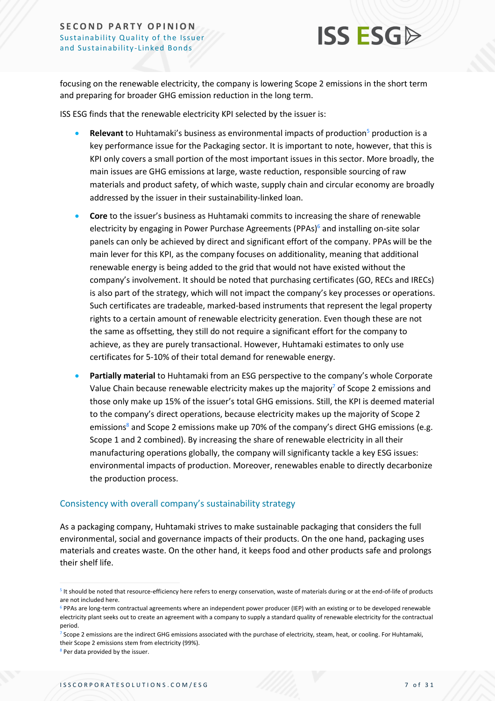

focusing on the renewable electricity, the company is lowering Scope 2 emissions in the short term and preparing for broader GHG emission reduction in the long term.

ISS ESG finds that the renewable electricity KPI selected by the issuer is:

- **Relevant** to Huhtamaki's business as environmental impacts of production<sup>5</sup> production is a key performance issue for the Packaging sector. It is important to note, however, that this is KPI only covers a small portion of the most important issues in this sector. More broadly, the main issues are GHG emissions at large, waste reduction, responsible sourcing of raw materials and product safety, of which waste, supply chain and circular economy are broadly addressed by the issuer in their sustainability-linked loan.
- **Core** to the issuer's business as Huhtamaki commits to increasing the share of renewable electricity by engaging in Power Purchase Agreements (PPAs)<sup>6</sup> and installing on-site solar panels can only be achieved by direct and significant effort of the company. PPAs will be the main lever for this KPI, as the company focuses on additionality, meaning that additional renewable energy is being added to the grid that would not have existed without the company's involvement. It should be noted that purchasing certificates (GO, RECs and IRECs) is also part of the strategy, which will not impact the company's key processes or operations. Such certificates are tradeable, marked-based instruments that represent the legal property rights to a certain amount of renewable electricity generation. Even though these are not the same as offsetting, they still do not require a significant effort for the company to achieve, as they are purely transactional. However, Huhtamaki estimates to only use certificates for 5-10% of their total demand for renewable energy.
- **Partially material** to Huhtamaki from an ESG perspective to the company's whole Corporate Value Chain because renewable electricity makes up the majority<sup>7</sup> of Scope 2 emissions and those only make up 15% of the issuer's total GHG emissions. Still, the KPI is deemed material to the company's direct operations, because electricity makes up the majority of Scope 2 emissions<sup>8</sup> and Scope 2 emissions make up 70% of the company's direct GHG emissions (e.g. Scope 1 and 2 combined). By increasing the share of renewable electricity in all their manufacturing operations globally, the company will significanty tackle a key ESG issues: environmental impacts of production. Moreover, renewables enable to directly decarbonize the production process.

#### Consistency with overall company's sustainability strategy

As a packaging company, Huhtamaki strives to make sustainable packaging that considers the full environmental, social and governance impacts of their products. On the one hand, packaging uses materials and creates waste. On the other hand, it keeps food and other products safe and prolongs their shelf life.

<sup>&</sup>lt;sup>5</sup> It should be noted that resource-efficiency here refers to energy conservation, waste of materials during or at the end-of-life of products are not included here.

<sup>&</sup>lt;sup>6</sup> PPAs are long-term contractual agreements where an independent power producer (IEP) with an existing or to be developed renewable electricity plant seeks out to create an agreement with a company to supply a standard quality of renewable electricity for the contractual period.

<sup>&</sup>lt;sup>7</sup> Scope 2 emissions are the indirect GHG emissions associated with the purchase of electricity, steam, heat, or cooling. For Huhtamaki, their Scope 2 emissions stem from electricity (99%).

<sup>&</sup>lt;sup>8</sup> Per data provided by the issuer.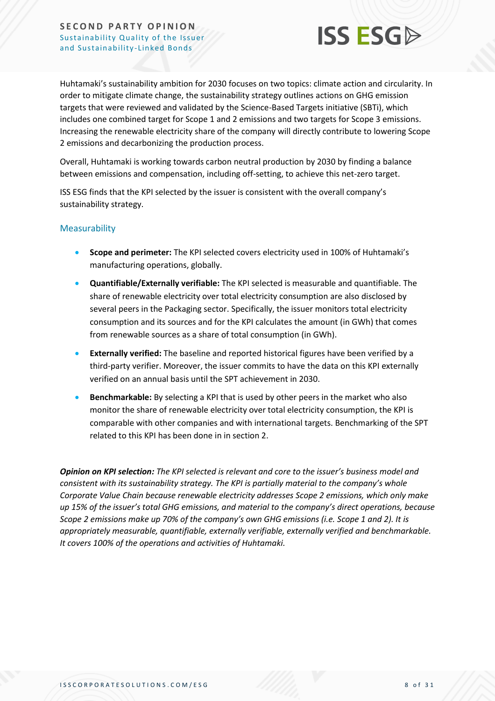

Huhtamaki's sustainability ambition for 2030 focuses on two topics: climate action and circularity. In order to mitigate climate change, the sustainability strategy outlines actions on GHG emission targets that were reviewed and validated by the Science-Based Targets initiative (SBTi), which includes one combined target for Scope 1 and 2 emissions and two targets for Scope 3 emissions. Increasing the renewable electricity share of the company will directly contribute to lowering Scope 2 emissions and decarbonizing the production process.

Overall, Huhtamaki is working towards carbon neutral production by 2030 by finding a balance between emissions and compensation, including off-setting, to achieve this net-zero target.

ISS ESG finds that the KPI selected by the issuer is consistent with the overall company's sustainability strategy.

#### Measurability

- **Scope and perimeter:** The KPI selected covers electricity used in 100% of Huhtamaki's manufacturing operations, globally.
- **Quantifiable/Externally verifiable:** The KPI selected is measurable and quantifiable. The share of renewable electricity over total electricity consumption are also disclosed by several peers in the Packaging sector. Specifically, the issuer monitors total electricity consumption and its sources and for the KPI calculates the amount (in GWh) that comes from renewable sources as a share of total consumption (in GWh).
- **Externally verified:** The baseline and reported historical figures have been verified by a third-party verifier. Moreover, the issuer commits to have the data on this KPI externally verified on an annual basis until the SPT achievement in 2030.
- **Benchmarkable:** By selecting a KPI that is used by other peers in the market who also monitor the share of renewable electricity over total electricity consumption, the KPI is comparable with other companies and with international targets. Benchmarking of the SPT related to this KPI has been done in in section 2.

*Opinion on KPI selection: The KPI selected is relevant and core to the issuer's business model and consistent with its sustainability strategy. The KPI is partially material to the company's whole Corporate Value Chain because renewable electricity addresses Scope 2 emissions, which only make up 15% of the issuer's total GHG emissions, and material to the company's direct operations, because Scope 2 emissions make up 70% of the company's own GHG emissions (i.e. Scope 1 and 2). It is appropriately measurable, quantifiable, externally verifiable, externally verified and benchmarkable. It covers 100% of the operations and activities of Huhtamaki.*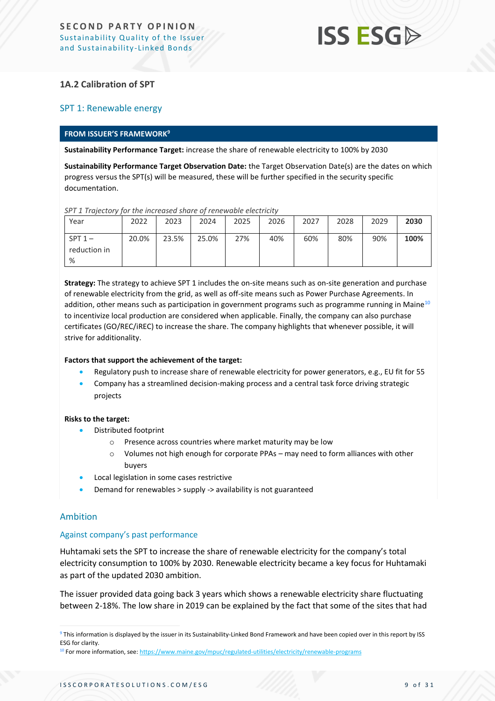### **1A.2 Calibration of SPT**

#### SPT 1: Renewable energy

#### **FROM ISSUER'S FRAMEWORK<sup>9</sup>**

**Sustainability Performance Target:** increase the share of renewable electricity to 100% by 2030

**Sustainability Performance Target Observation Date:** the Target Observation Date(s) are the dates on which progress versus the SPT(s) will be measured, these will be further specified in the security specific documentation.

*SPT 1 Trajectory for the increased share of renewable electricity*

| Year                           | 2022  | 2023  | 2024  | 2025 | 2026 | 2027 | 2028 | 2029 | 2030 |
|--------------------------------|-------|-------|-------|------|------|------|------|------|------|
| $SPT 1 -$<br>reduction in<br>% | 20.0% | 23.5% | 25.0% | 27%  | 40%  | 60%  | 80%  | 90%  | 100% |

**Strategy:** The strategy to achieve SPT 1 includes the on-site means such as on-site generation and purchase of renewable electricity from the grid, as well as off-site means such as Power Purchase Agreements. In addition, other means such as participation in government programs such as programme running in Maine<sup>10</sup> to incentivize local production are considered when applicable. Finally, the company can also purchase certificates (GO/REC/iREC) to increase the share. The company highlights that whenever possible, it will strive for additionality.

#### **Factors that support the achievement of the target:**

- Regulatory push to increase share of renewable electricity for power generators, e.g., EU fit for 55
- Company has a streamlined decision-making process and a central task force driving strategic projects

#### **Risks to the target:**

- Distributed footprint
	- o Presence across countries where market maturity may be low
	- $\circ$  Volumes not high enough for corporate PPAs may need to form alliances with other buyers
- Local legislation in some cases restrictive
- Demand for renewables > supply -> availability is not guaranteed

#### Ambition

#### Against company's past performance

Huhtamaki sets the SPT to increase the share of renewable electricity for the company's total electricity consumption to 100% by 2030. Renewable electricity became a key focus for Huhtamaki as part of the updated 2030 ambition.

The issuer provided data going back 3 years which shows a renewable electricity share fluctuating between 2-18%. The low share in 2019 can be explained by the fact that some of the sites that had

<sup>&</sup>lt;sup>9</sup> This information is displayed by the issuer in its Sustainability-Linked Bond Framework and have been copied over in this report by ISS ESG for clarity.

<sup>&</sup>lt;sup>10</sup> For more information, see[: https://www.maine.gov/mpuc/regulated-utilities/electricity/renewable-programs](https://www.maine.gov/mpuc/regulated-utilities/electricity/renewable-programs)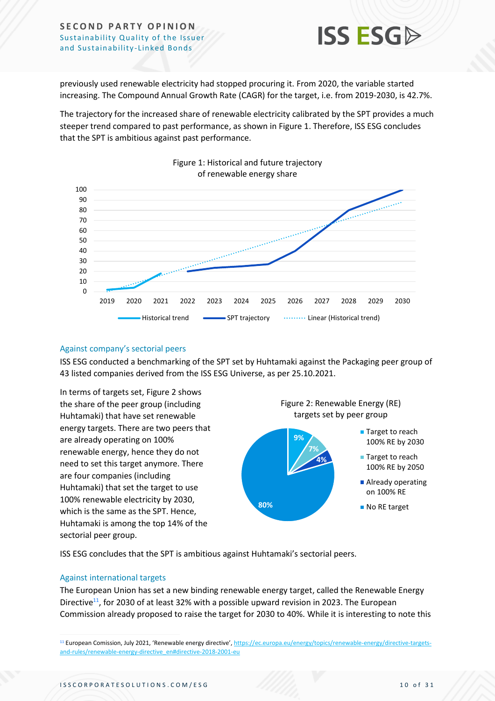

previously used renewable electricity had stopped procuring it. From 2020, the variable started increasing. The Compound Annual Growth Rate (CAGR) for the target, i.e. from 2019-2030, is 42.7%.

The trajectory for the increased share of renewable electricity calibrated by the SPT provides a much steeper trend compared to past performance, as shown in Figure 1. Therefore, ISS ESG concludes that the SPT is ambitious against past performance.



#### Figure 1: Historical and future trajectory of renewable energy share

#### Against company's sectorial peers

ISS ESG conducted a benchmarking of the SPT set by Huhtamaki against the Packaging peer group of 43 listed companies derived from the ISS ESG Universe, as per 25.10.2021.

In terms of targets set, Figure 2 shows the share of the peer group (including Huhtamaki) that have set renewable energy targets. There are two peers that are already operating on 100% renewable energy, hence they do not need to set this target anymore. There are four companies (including Huhtamaki) that set the target to use 100% renewable electricity by 2030, which is the same as the SPT. Hence, Huhtamaki is among the top 14% of the sectorial peer group.

Figure 2: Renewable Energy (RE) targets set by peer group



ISS ESG concludes that the SPT is ambitious against Huhtamaki's sectorial peers.

#### Against international targets

The European Union has set a new binding renewable energy target, called the Renewable Energy Directive<sup>11</sup>, for 2030 of at least 32% with a possible upward revision in 2023. The European Commission already proposed to raise the target for 2030 to 40%. While it is interesting to note this

<sup>11</sup> European Comission, July 2021, 'Renewable energy directive', [https://ec.europa.eu/energy/topics/renewable-energy/directive-targets](https://ec.europa.eu/energy/topics/renewable-energy/directive-targets-and-rules/renewable-energy-directive_en#directive-2018-2001-eu)[and-rules/renewable-energy-directive\\_en#directive-2018-2001-eu](https://ec.europa.eu/energy/topics/renewable-energy/directive-targets-and-rules/renewable-energy-directive_en#directive-2018-2001-eu)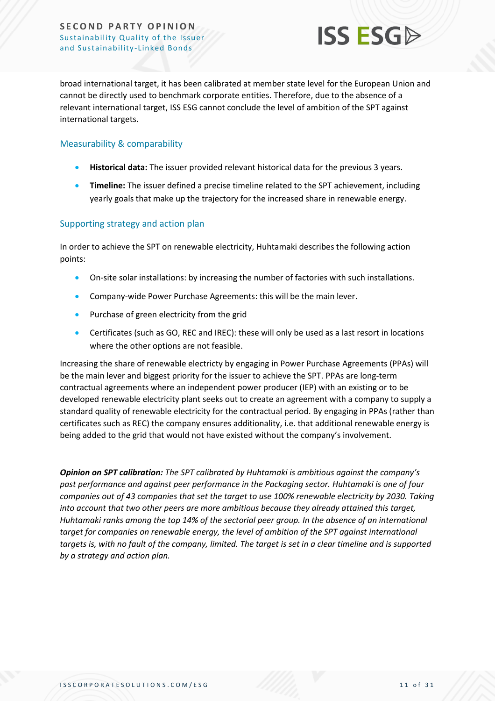

broad international target, it has been calibrated at member state level for the European Union and cannot be directly used to benchmark corporate entities. Therefore, due to the absence of a relevant international target, ISS ESG cannot conclude the level of ambition of the SPT against international targets.

### Measurability & comparability

- **Historical data:** The issuer provided relevant historical data for the previous 3 years.
- **Timeline:** The issuer defined a precise timeline related to the SPT achievement, including yearly goals that make up the trajectory for the increased share in renewable energy.

#### Supporting strategy and action plan

In order to achieve the SPT on renewable electricity, Huhtamaki describes the following action points:

- On-site solar installations: by increasing the number of factories with such installations.
- Company-wide Power Purchase Agreements: this will be the main lever.
- Purchase of green electricity from the grid
- Certificates (such as GO, REC and IREC): these will only be used as a last resort in locations where the other options are not feasible.

Increasing the share of renewable electricty by engaging in Power Purchase Agreements (PPAs) will be the main lever and biggest priority for the issuer to achieve the SPT. PPAs are long-term contractual agreements where an independent power producer (IEP) with an existing or to be developed renewable electricity plant seeks out to create an agreement with a company to supply a standard quality of renewable electricity for the contractual period. By engaging in PPAs (rather than certificates such as REC) the company ensures additionality, i.e. that additional renewable energy is being added to the grid that would not have existed without the company's involvement.

*Opinion on SPT calibration: The SPT calibrated by Huhtamaki is ambitious against the company's past performance and against peer performance in the Packaging sector. Huhtamaki is one of four companies out of 43 companies that set the target to use 100% renewable electricity by 2030. Taking into account that two other peers are more ambitious because they already attained this target, Huhtamaki ranks among the top 14% of the sectorial peer group. In the absence of an international target for companies on renewable energy, the level of ambition of the SPT against international targets is, with no fault of the company, limited. The target is set in a clear timeline and is supported by a strategy and action plan.*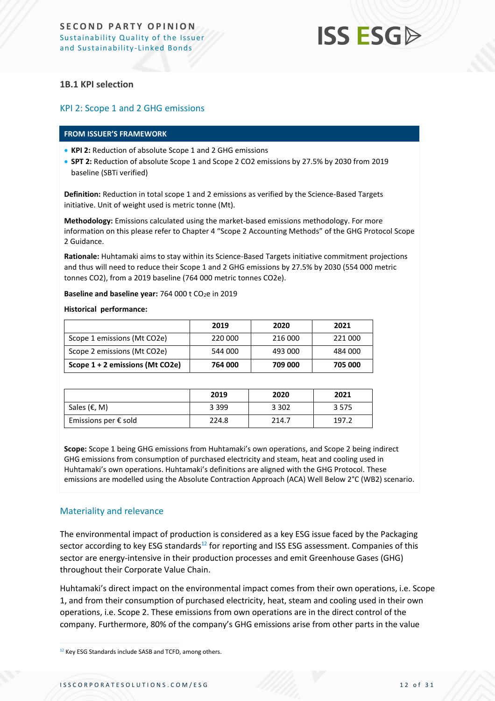#### **1B.1 KPI selection**

#### KPI 2: Scope 1 and 2 GHG emissions

#### **FROM ISSUER'S FRAMEWORK**

- **KPI 2:** Reduction of absolute Scope 1 and 2 GHG emissions
- **SPT 2:** Reduction of absolute Scope 1 and Scope 2 CO2 emissions by 27.5% by 2030 from 2019 baseline (SBTi verified)

**Definition:** Reduction in total scope 1 and 2 emissions as verified by the Science-Based Targets initiative. Unit of weight used is metric tonne (Mt).

**Methodology:** Emissions calculated using the market-based emissions methodology. For more information on this please refer to Chapter 4 "Scope 2 Accounting Methods" of the GHG Protocol Scope 2 Guidance.

**Rationale:** Huhtamaki aims to stay within its Science-Based Targets initiative commitment projections and thus will need to reduce their Scope 1 and 2 GHG emissions by 27.5% by 2030 (554 000 metric tonnes CO2), from a 2019 baseline (764 000 metric tonnes CO2e).

Baseline and baseline year: 764 000 t CO<sub>2</sub>e in 2019

**Historical performance:**

|                                 | 2019    | 2020    | 2021    |
|---------------------------------|---------|---------|---------|
| Scope 1 emissions (Mt CO2e)     | 220 000 | 216 000 | 221 000 |
| Scope 2 emissions (Mt CO2e)     | 544 000 | 493 000 | 484 000 |
| Scope 1 + 2 emissions (Mt CO2e) | 764 000 | 709 000 | 705 000 |

|                               | 2019    | 2020    | 2021  |
|-------------------------------|---------|---------|-------|
| Sales (€, M)                  | 3 3 9 9 | 3 3 0 2 | 3575  |
| Emissions per $\epsilon$ sold | 224.8   | 214.7   | 197.2 |

**Scope:** Scope 1 being GHG emissions from Huhtamaki's own operations, and Scope 2 being indirect GHG emissions from consumption of purchased electricity and steam, heat and cooling used in Huhtamaki's own operations. Huhtamaki's definitions are aligned with the GHG Protocol. These emissions are modelled using the Absolute Contraction Approach (ACA) Well Below 2°C (WB2) scenario.

#### Materiality and relevance

The environmental impact of production is considered as a key ESG issue faced by the Packaging sector according to key ESG standards<sup>12</sup> for reporting and ISS ESG assessment. Companies of this sector are energy-intensive in their production processes and emit Greenhouse Gases (GHG) throughout their Corporate Value Chain.

Huhtamaki's direct impact on the environmental impact comes from their own operations, i.e. Scope 1, and from their consumption of purchased electricity, heat, steam and cooling used in their own operations, i.e. Scope 2. These emissions from own operations are in the direct control of the company. Furthermore, 80% of the company's GHG emissions arise from other parts in the value

<sup>12</sup> Key ESG Standards include SASB and TCFD, among others.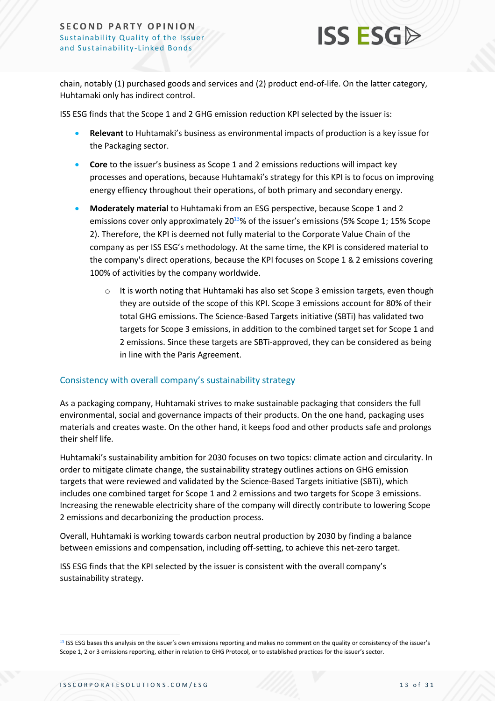

chain, notably (1) purchased goods and services and (2) product end-of-life. On the latter category, Huhtamaki only has indirect control.

ISS ESG finds that the Scope 1 and 2 GHG emission reduction KPI selected by the issuer is:

- **Relevant** to Huhtamaki's business as environmental impacts of production is a key issue for the Packaging sector.
- **Core** to the issuer's business as Scope 1 and 2 emissions reductions will impact key processes and operations, because Huhtamaki's strategy for this KPI is to focus on improving energy effiency throughout their operations, of both primary and secondary energy.
- **Moderately material** to Huhtamaki from an ESG perspective, because Scope 1 and 2 emissions cover only approximately 20<sup>13</sup>% of the issuer's emissions (5% Scope 1; 15% Scope 2). Therefore, the KPI is deemed not fully material to the Corporate Value Chain of the company as per ISS ESG's methodology. At the same time, the KPI is considered material to the company's direct operations, because the KPI focuses on Scope 1 & 2 emissions covering 100% of activities by the company worldwide.
	- $\circ$  It is worth noting that Huhtamaki has also set Scope 3 emission targets, even though they are outside of the scope of this KPI. Scope 3 emissions account for 80% of their total GHG emissions. The Science-Based Targets initiative (SBTi) has validated two targets for Scope 3 emissions, in addition to the combined target set for Scope 1 and 2 emissions. Since these targets are SBTi-approved, they can be considered as being in line with the Paris Agreement.

#### Consistency with overall company's sustainability strategy

As a packaging company, Huhtamaki strives to make sustainable packaging that considers the full environmental, social and governance impacts of their products. On the one hand, packaging uses materials and creates waste. On the other hand, it keeps food and other products safe and prolongs their shelf life.

Huhtamaki's sustainability ambition for 2030 focuses on two topics: climate action and circularity. In order to mitigate climate change, the sustainability strategy outlines actions on GHG emission targets that were reviewed and validated by the Science-Based Targets initiative (SBTi), which includes one combined target for Scope 1 and 2 emissions and two targets for Scope 3 emissions. Increasing the renewable electricity share of the company will directly contribute to lowering Scope 2 emissions and decarbonizing the production process.

Overall, Huhtamaki is working towards carbon neutral production by 2030 by finding a balance between emissions and compensation, including off-setting, to achieve this net-zero target.

ISS ESG finds that the KPI selected by the issuer is consistent with the overall company's sustainability strategy.

<sup>&</sup>lt;sup>13</sup> ISS ESG bases this analysis on the issuer's own emissions reporting and makes no comment on the quality or consistency of the issuer's Scope 1, 2 or 3 emissions reporting, either in relation to GHG Protocol, or to established practices for the issuer's sector.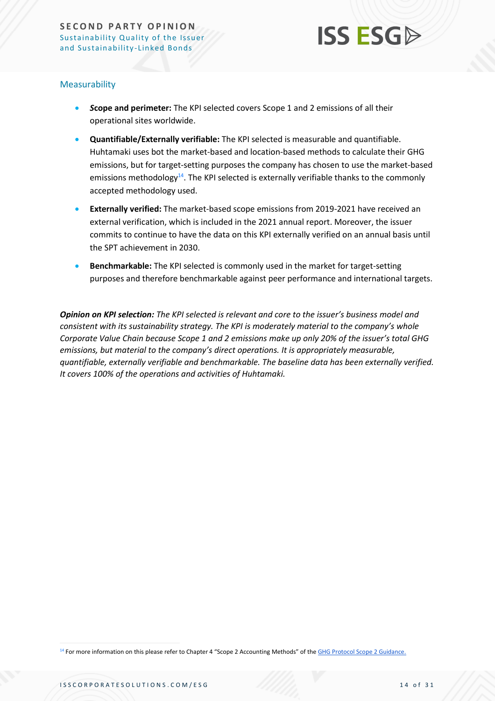

#### Measurability

- *S***cope and perimeter:** The KPI selected covers Scope 1 and 2 emissions of all their operational sites worldwide.
- **Quantifiable/Externally verifiable:** The KPI selected is measurable and quantifiable. Huhtamaki uses bot the market-based and location-based methods to calculate their GHG emissions, but for target-setting purposes the company has chosen to use the market-based emissions methodology<sup>14</sup>. The KPI selected is externally verifiable thanks to the commonly accepted methodology used.
- **Externally verified:** The market-based scope emissions from 2019-2021 have received an external verification, which is included in the 2021 annual report. Moreover, the issuer commits to continue to have the data on this KPI externally verified on an annual basis until the SPT achievement in 2030.
- **Benchmarkable:** The KPI selected is commonly used in the market for target-setting purposes and therefore benchmarkable against peer performance and international targets.

*Opinion on KPI selection: The KPI selected is relevant and core to the issuer's business model and consistent with its sustainability strategy. The KPI is moderately material to the company's whole Corporate Value Chain because Scope 1 and 2 emissions make up only 20% of the issuer's total GHG emissions, but material to the company's direct operations. It is appropriately measurable, quantifiable, externally verifiable and benchmarkable. The baseline data has been externally verified. It covers 100% of the operations and activities of Huhtamaki.*

14 For more information on this please refer to Chapter 4 "Scope 2 Accounting Methods" of [the](http://www.ghgprotocol.org/standards/corporate-standard) [GHG Protocol Scope 2 Guidance.](http://www.ghgprotocol.org/scope_2_guidance)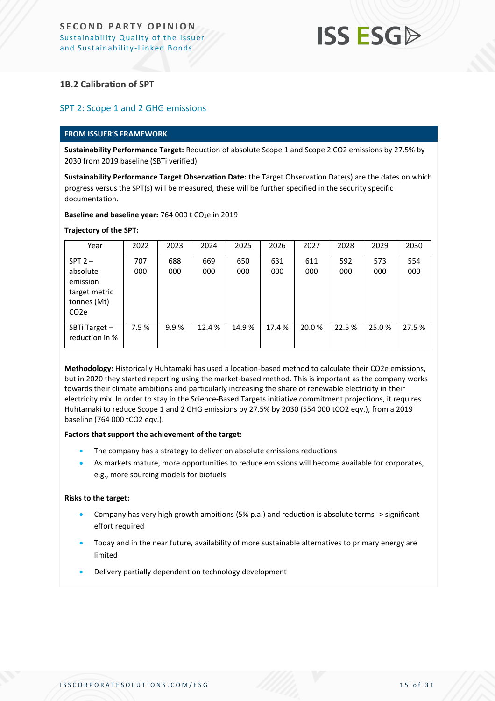#### **1B.2 Calibration of SPT**

#### SPT 2: Scope 1 and 2 GHG emissions

#### **FROM ISSUER'S FRAMEWORK**

**Sustainability Performance Target:** Reduction of absolute Scope 1 and Scope 2 CO2 emissions by 27.5% by 2030 from 2019 baseline (SBTi verified)

**Sustainability Performance Target Observation Date:** the Target Observation Date(s) are the dates on which progress versus the SPT(s) will be measured, these will be further specified in the security specific documentation.

**Baseline and baseline year:** 764 000 t CO<sub>2</sub>e in 2019

#### **Trajectory of the SPT:**

| Year                                                                      | 2022 | 2023 | 2024   | 2025  | 2026   | 2027   | 2028   | 2029  | 2030   |
|---------------------------------------------------------------------------|------|------|--------|-------|--------|--------|--------|-------|--------|
| $SPT 2 -$                                                                 | 707  | 688  | 669    | 650   | 631    | 611    | 592    | 573   | 554    |
| absolute<br>emission<br>target metric<br>tonnes (Mt)<br>CO <sub>2</sub> e | 000  | 000  | 000    | 000   | 000    | 000    | 000    | 000   | 000    |
| SBTi Target -<br>reduction in %                                           | 7.5% | 9.9% | 12.4 % | 14.9% | 17.4 % | 20.0 % | 22.5 % | 25.0% | 27.5 % |

**Methodology:** Historically Huhtamaki has used a location-based method to calculate their CO2e emissions, but in 2020 they started reporting using the market-based method. This is important as the company works towards their climate ambitions and particularly increasing the share of renewable electricity in their electricity mix. In order to stay in the Science-Based Targets initiative commitment projections, it requires Huhtamaki to reduce Scope 1 and 2 GHG emissions by 27.5% by 2030 (554 000 tCO2 eqv.), from a 2019 baseline (764 000 tCO2 eqv.).

#### **Factors that support the achievement of the target:**

- The company has a strategy to deliver on absolute emissions reductions
- As markets mature, more opportunities to reduce emissions will become available for corporates, e.g., more sourcing models for biofuels

#### **Risks to the target:**

- Company has very high growth ambitions (5% p.a.) and reduction is absolute terms -> significant effort required
- Today and in the near future, availability of more sustainable alternatives to primary energy are limited
- Delivery partially dependent on technology development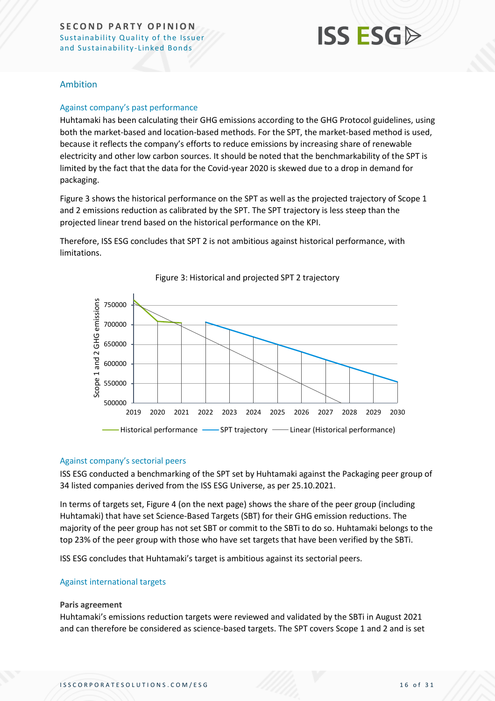# **ISS ESG**

#### Ambition

#### Against company's past performance

Huhtamaki has been calculating their GHG emissions according to the GHG Protocol guidelines, using both the market-based and location-based methods. For the SPT, the market-based method is used, because it reflects the company's efforts to reduce emissions by increasing share of renewable electricity and other low carbon sources. It should be noted that the benchmarkability of the SPT is limited by the fact that the data for the Covid-year 2020 is skewed due to a drop in demand for packaging.

Figure 3 shows the historical performance on the SPT as well as the projected trajectory of Scope 1 and 2 emissions reduction as calibrated by the SPT. The SPT trajectory is less steep than the projected linear trend based on the historical performance on the KPI.

Therefore, ISS ESG concludes that SPT 2 is not ambitious against historical performance, with limitations.



Figure 3: Historical and projected SPT 2 trajectory

#### Against company's sectorial peers

ISS ESG conducted a benchmarking of the SPT set by Huhtamaki against the Packaging peer group of 34 listed companies derived from the ISS ESG Universe, as per 25.10.2021.

In terms of targets set, Figure 4 (on the next page) shows the share of the peer group (including Huhtamaki) that have set Science-Based Targets (SBT) for their GHG emission reductions. The majority of the peer group has not set SBT or commit to the SBTi to do so. Huhtamaki belongs to the top 23% of the peer group with those who have set targets that have been verified by the SBTi.

ISS ESG concludes that Huhtamaki's target is ambitious against its sectorial peers.

#### Against international targets

#### **Paris agreement**

Huhtamaki's emissions reduction targets were reviewed and validated by the SBTi in August 2021 and can therefore be considered as science-based targets. The SPT covers Scope 1 and 2 and is set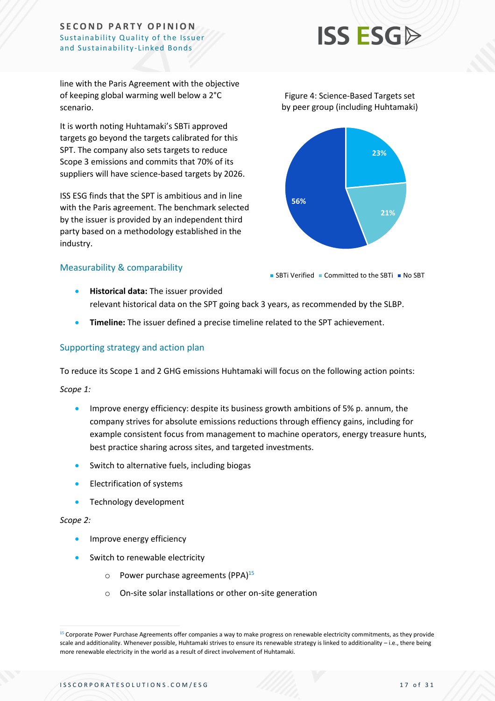# **ISS ESG**

line with the Paris Agreement with the objective of keeping global warming well below a 2°C scenario.

It is worth noting Huhtamaki's SBTi approved targets go beyond the targets calibrated for this SPT. The company also sets targets to reduce Scope 3 emissions and commits that 70% of its suppliers will have science-based targets by 2026.

ISS ESG finds that the SPT is ambitious and in line with the Paris agreement. The benchmark selected by the issuer is provided by an independent third party based on a methodology established in the industry.



Figure 4: Science-Based Targets set

**56%**

#### Measurability & comparability

 $\blacksquare$  SBTi Verified  $\blacksquare$  Committed to the SBTi  $\blacksquare$  No SBT

**21%**

- **Historical data:** The issuer provided relevant historical data on the SPT going back 3 years, as recommended by the SLBP.
- **Timeline:** The issuer defined a precise timeline related to the SPT achievement.

#### Supporting strategy and action plan

To reduce its Scope 1 and 2 GHG emissions Huhtamaki will focus on the following action points:

*Scope 1:*

- Improve energy efficiency: despite its business growth ambitions of 5% p. annum, the company strives for absolute emissions reductions through effiency gains, including for example consistent focus from management to machine operators, energy treasure hunts, best practice sharing across sites, and targeted investments.
- Switch to alternative fuels, including biogas
- Electrification of systems
- Technology development

#### *Scope 2:*

- Improve energy efficiency
- Switch to renewable electricity
	- $\circ$  Power purchase agreements (PPA)<sup>15</sup>
	- o On-site solar installations or other on-site generation

<sup>&</sup>lt;sup>15</sup> Corporate Power Purchase Agreements offer companies a way to make progress on renewable electricity commitments, as they provide scale and additionality. Whenever possible, Huhtamaki strives to ensure its renewable strategy is linked to additionality – i.e., there being more renewable electricity in the world as a result of direct involvement of Huhtamaki.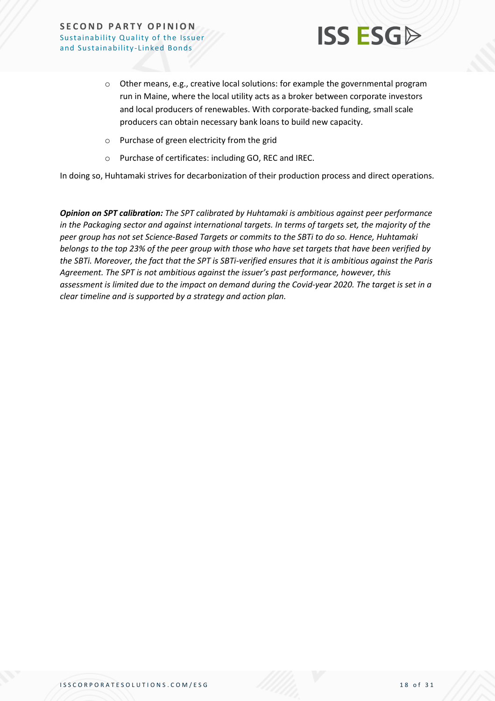

- o Other means, e.g., creative local solutions: for example the governmental program run in Maine, where the local utility acts as a broker between corporate investors and local producers of renewables. With corporate-backed funding, small scale producers can obtain necessary bank loans to build new capacity.
- o Purchase of green electricity from the grid
- o Purchase of certificates: including GO, REC and IREC.

In doing so, Huhtamaki strives for decarbonization of their production process and direct operations.

*Opinion on SPT calibration: The SPT calibrated by Huhtamaki is ambitious against peer performance in the Packaging sector and against international targets. In terms of targets set, the majority of the peer group has not set Science-Based Targets or commits to the SBTi to do so. Hence, Huhtamaki belongs to the top 23% of the peer group with those who have set targets that have been verified by the SBTi. Moreover, the fact that the SPT is SBTi-verified ensures that it is ambitious against the Paris Agreement. The SPT is not ambitious against the issuer's past performance, however, this assessment is limited due to the impact on demand during the Covid-year 2020. The target is set in a clear timeline and is supported by a strategy and action plan.*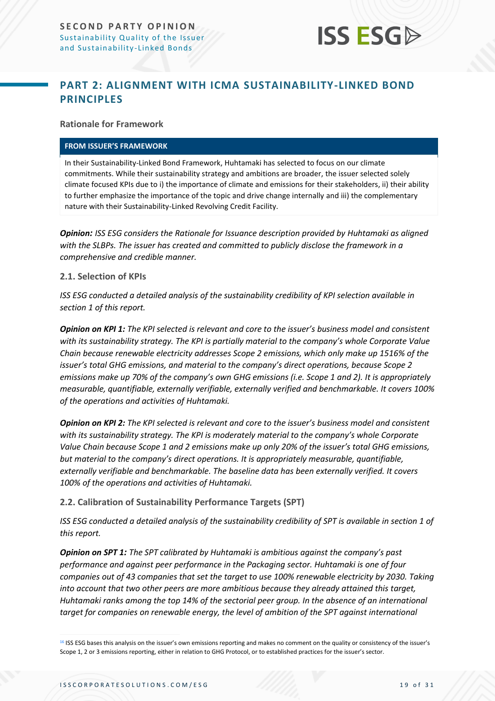

### <span id="page-18-0"></span>**PART 2: ALIGNMENT WITH ICMA SUSTAINABILITY-LINKED BOND PRINCIPLES**

**Rationale for Framework**

#### **FROM ISSUER'S FRAMEWORK**

In their Sustainability-Linked Bond Framework, Huhtamaki has selected to focus on our climate commitments. While their sustainability strategy and ambitions are broader, the issuer selected solely climate focused KPIs due to i) the importance of climate and emissions for their stakeholders, ii) their ability to further emphasize the importance of the topic and drive change internally and iii) the complementary nature with their Sustainability-Linked Revolving Credit Facility.

*Opinion: ISS ESG considers the Rationale for Issuance description provided by Huhtamaki as aligned with the SLBPs. The issuer has created and committed to publicly disclose the framework in a comprehensive and credible manner.*

#### **2.1. Selection of KPIs**

*ISS ESG conducted a detailed analysis of the sustainability credibility of KPI selection available in section 1 of this report.*

*Opinion on KPI 1: The KPI selected is relevant and core to the issuer's business model and consistent with its sustainability strategy. The KPI is partially material to the company's whole Corporate Value Chain because renewable electricity addresses Scope 2 emissions, which only make up 1516% of the issuer's total GHG emissions, and material to the company's direct operations, because Scope 2 emissions make up 70% of the company's own GHG emissions (i.e. Scope 1 and 2). It is appropriately measurable, quantifiable, externally verifiable, externally verified and benchmarkable. It covers 100% of the operations and activities of Huhtamaki.*

*Opinion on KPI 2: The KPI selected is relevant and core to the issuer's business model and consistent with its sustainability strategy. The KPI is moderately material to the company's whole Corporate Value Chain because Scope 1 and 2 emissions make up only 20% of the issuer's total GHG emissions, but material to the company's direct operations. It is appropriately measurable, quantifiable, externally verifiable and benchmarkable. The baseline data has been externally verified. It covers 100% of the operations and activities of Huhtamaki.*

#### **2.2. Calibration of Sustainability Performance Targets (SPT)**

*ISS ESG conducted a detailed analysis of the sustainability credibility of SPT is available in section 1 of this report.*

*Opinion on SPT 1: The SPT calibrated by Huhtamaki is ambitious against the company's past performance and against peer performance in the Packaging sector. Huhtamaki is one of four companies out of 43 companies that set the target to use 100% renewable electricity by 2030. Taking into account that two other peers are more ambitious because they already attained this target, Huhtamaki ranks among the top 14% of the sectorial peer group. In the absence of an international target for companies on renewable energy, the level of ambition of the SPT against international* 

<sup>&</sup>lt;sup>16</sup> ISS ESG bases this analysis on the issuer's own emissions reporting and makes no comment on the quality or consistency of the issuer's Scope 1, 2 or 3 emissions reporting, either in relation to GHG Protocol, or to established practices for the issuer's sector.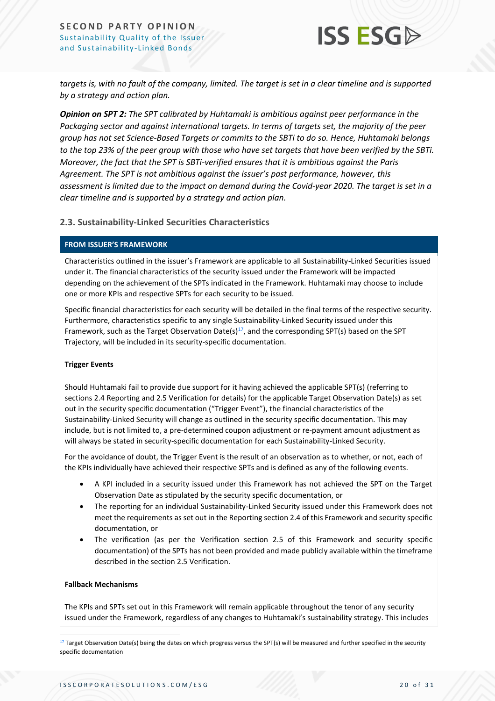

*targets is, with no fault of the company, limited. The target is set in a clear timeline and is supported by a strategy and action plan.*

*Opinion on SPT 2: The SPT calibrated by Huhtamaki is ambitious against peer performance in the Packaging sector and against international targets. In terms of targets set, the majority of the peer group has not set Science-Based Targets or commits to the SBTi to do so. Hence, Huhtamaki belongs to the top 23% of the peer group with those who have set targets that have been verified by the SBTi. Moreover, the fact that the SPT is SBTi-verified ensures that it is ambitious against the Paris Agreement. The SPT is not ambitious against the issuer's past performance, however, this assessment is limited due to the impact on demand during the Covid-year 2020. The target is set in a clear timeline and is supported by a strategy and action plan.*

**2.3. Sustainability-Linked Securities Characteristics**

#### **FROM ISSUER'S FRAMEWORK**

Characteristics outlined in the issuer's Framework are applicable to all Sustainability-Linked Securities issued under it. The financial characteristics of the security issued under the Framework will be impacted depending on the achievement of the SPTs indicated in the Framework. Huhtamaki may choose to include one or more KPIs and respective SPTs for each security to be issued.

Specific financial characteristics for each security will be detailed in the final terms of the respective security. Furthermore, characteristics specific to any single Sustainability-Linked Security issued under this Framework, such as the Target Observation Date(s)<sup>17</sup>, and the corresponding SPT(s) based on the SPT Trajectory, will be included in its security-specific documentation.

#### **Trigger Events**

Should Huhtamaki fail to provide due support for it having achieved the applicable SPT(s) (referring to sections 2.4 Reporting and 2.5 Verification for details) for the applicable Target Observation Date(s) as set out in the security specific documentation ("Trigger Event"), the financial characteristics of the Sustainability-Linked Security will change as outlined in the security specific documentation. This may include, but is not limited to, a pre-determined coupon adjustment or re-payment amount adjustment as will always be stated in security-specific documentation for each Sustainability-Linked Security.

For the avoidance of doubt, the Trigger Event is the result of an observation as to whether, or not, each of the KPIs individually have achieved their respective SPTs and is defined as any of the following events.

- A KPI included in a security issued under this Framework has not achieved the SPT on the Target Observation Date as stipulated by the security specific documentation, or
- The reporting for an individual Sustainability-Linked Security issued under this Framework does not meet the requirements as set out in the Reporting section 2.4 of this Framework and security specific documentation, or
- The verification (as per the Verification section 2.5 of this Framework and security specific documentation) of the SPTs has not been provided and made publicly available within the timeframe described in the section 2.5 Verification.

#### **Fallback Mechanisms**

The KPIs and SPTs set out in this Framework will remain applicable throughout the tenor of any security issued under the Framework, regardless of any changes to Huhtamaki's sustainability strategy. This includes

 $17$  Target Observation Date(s) being the dates on which progress versus the SPT(s) will be measured and further specified in the security specific documentation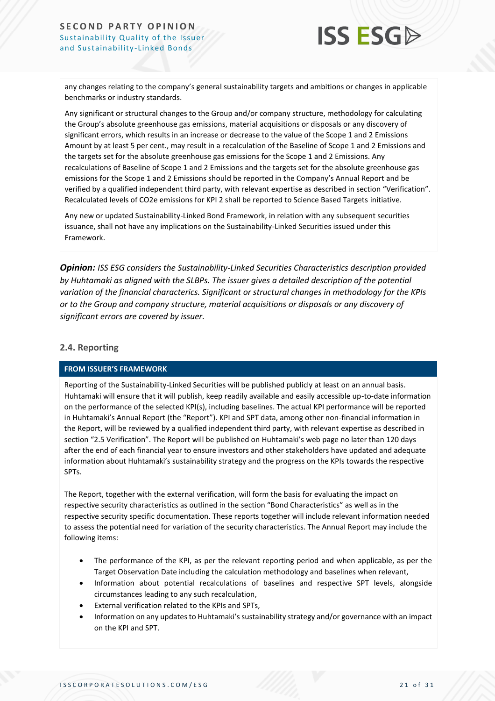

any changes relating to the company's general sustainability targets and ambitions or changes in applicable benchmarks or industry standards.

Any significant or structural changes to the Group and/or company structure, methodology for calculating the Group's absolute greenhouse gas emissions, material acquisitions or disposals or any discovery of significant errors, which results in an increase or decrease to the value of the Scope 1 and 2 Emissions Amount by at least 5 per cent., may result in a recalculation of the Baseline of Scope 1 and 2 Emissions and the targets set for the absolute greenhouse gas emissions for the Scope 1 and 2 Emissions. Any recalculations of Baseline of Scope 1 and 2 Emissions and the targets set for the absolute greenhouse gas emissions for the Scope 1 and 2 Emissions should be reported in the Company's Annual Report and be verified by a qualified independent third party, with relevant expertise as described in section "Verification". Recalculated levels of CO2e emissions for KPI 2 shall be reported to Science Based Targets initiative.

Any new or updated Sustainability-Linked Bond Framework, in relation with any subsequent securities issuance, shall not have any implications on the Sustainability-Linked Securities issued under this Framework.

*Opinion: ISS ESG considers the Sustainability-Linked Securities Characteristics description provided by Huhtamaki as aligned with the SLBPs. The issuer gives a detailed description of the potential variation of the financial characterics. Significant or structural changes in methodology for the KPIs or to the Group and company structure, material acquisitions or disposals or any discovery of significant errors are covered by issuer.* 

#### **2.4. Reporting**

#### **FROM ISSUER'S FRAMEWORK**

Reporting of the Sustainability-Linked Securities will be published publicly at least on an annual basis. Huhtamaki will ensure that it will publish, keep readily available and easily accessible up-to-date information on the performance of the selected KPI(s), including baselines. The actual KPI performance will be reported in Huhtamaki's Annual Report (the "Report"). KPI and SPT data, among other non-financial information in the Report, will be reviewed by a qualified independent third party, with relevant expertise as described in section "2.5 Verification". The Report will be published on Huhtamaki's web page no later than 120 days after the end of each financial year to ensure investors and other stakeholders have updated and adequate information about Huhtamaki's sustainability strategy and the progress on the KPIs towards the respective SPTs.

The Report, together with the external verification, will form the basis for evaluating the impact on respective security characteristics as outlined in the section "Bond Characteristics" as well as in the respective security specific documentation. These reports together will include relevant information needed to assess the potential need for variation of the security characteristics. The Annual Report may include the following items:

- The performance of the KPI, as per the relevant reporting period and when applicable, as per the Target Observation Date including the calculation methodology and baselines when relevant,
- Information about potential recalculations of baselines and respective SPT levels, alongside circumstances leading to any such recalculation,
- External verification related to the KPIs and SPTs,
- Information on any updates to Huhtamaki's sustainability strategy and/or governance with an impact on the KPI and SPT.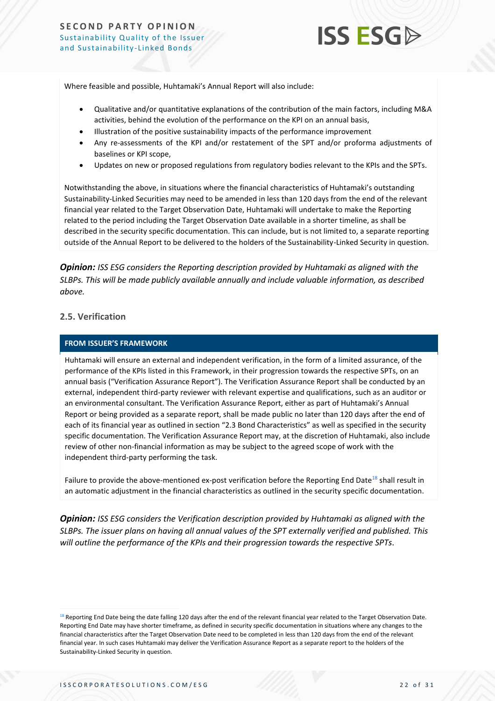

Where feasible and possible, Huhtamaki's Annual Report will also include:

- Qualitative and/or quantitative explanations of the contribution of the main factors, including M&A activities, behind the evolution of the performance on the KPI on an annual basis,
- Illustration of the positive sustainability impacts of the performance improvement
- Any re-assessments of the KPI and/or restatement of the SPT and/or proforma adjustments of baselines or KPI scope,
- Updates on new or proposed regulations from regulatory bodies relevant to the KPIs and the SPTs.

Notwithstanding the above, in situations where the financial characteristics of Huhtamaki's outstanding Sustainability-Linked Securities may need to be amended in less than 120 days from the end of the relevant financial year related to the Target Observation Date, Huhtamaki will undertake to make the Reporting related to the period including the Target Observation Date available in a shorter timeline, as shall be described in the security specific documentation. This can include, but is not limited to, a separate reporting outside of the Annual Report to be delivered to the holders of the Sustainability-Linked Security in question.

*Opinion: ISS ESG considers the Reporting description provided by Huhtamaki as aligned with the SLBPs. This will be made publicly available annually and include valuable information, as described above.* 

#### **2.5. Verification**

#### **FROM ISSUER'S FRAMEWORK**

Huhtamaki will ensure an external and independent verification, in the form of a limited assurance, of the performance of the KPIs listed in this Framework, in their progression towards the respective SPTs, on an annual basis ("Verification Assurance Report"). The Verification Assurance Report shall be conducted by an external, independent third-party reviewer with relevant expertise and qualifications, such as an auditor or an environmental consultant. The Verification Assurance Report, either as part of Huhtamaki's Annual Report or being provided as a separate report, shall be made public no later than 120 days after the end of each of its financial year as outlined in section "2.3 Bond Characteristics" as well as specified in the security specific documentation. The Verification Assurance Report may, at the discretion of Huhtamaki, also include review of other non-financial information as may be subject to the agreed scope of work with the independent third-party performing the task.

Failure to provide the above-mentioned ex-post verification before the Reporting End Date<sup>18</sup> shall result in an automatic adjustment in the financial characteristics as outlined in the security specific documentation.

*Opinion: ISS ESG considers the Verification description provided by Huhtamaki as aligned with the SLBPs. The issuer plans on having all annual values of the SPT externally verified and published. This will outline the performance of the KPIs and their progression towards the respective SPTs.*

<sup>&</sup>lt;sup>18</sup> Reporting End Date being the date falling 120 days after the end of the relevant financial year related to the Target Observation Date. Reporting End Date may have shorter timeframe, as defined in security specific documentation in situations where any changes to the financial characteristics after the Target Observation Date need to be completed in less than 120 days from the end of the relevant financial year. In such cases Huhtamaki may deliver the Verification Assurance Report as a separate report to the holders of the Sustainability-Linked Security in question.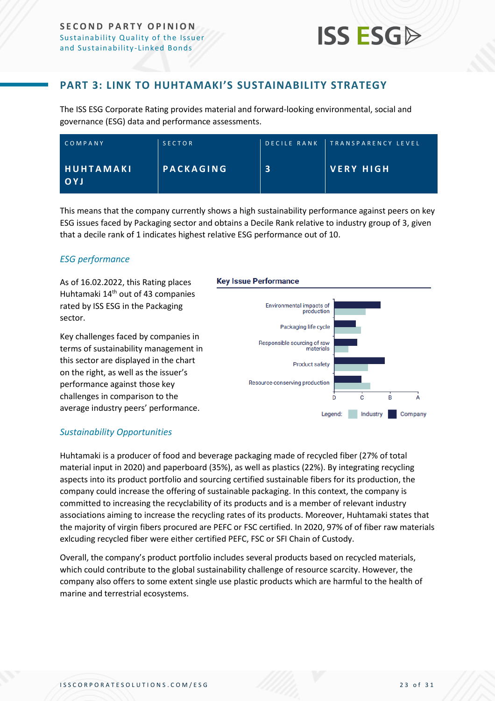

### **PART 3: LINK TO HUHTAMAKI'S SUSTAINABILITY STRATEGY**

<span id="page-22-0"></span>The ISS ESG Corporate Rating provides material and forward-looking environmental, social and governance (ESG) data and performance assessments.

| COMPANY                        | <b>SECTOR</b>    | <b>DECILE RANK TRANSPARENCY LEVEL</b> |
|--------------------------------|------------------|---------------------------------------|
| <b>HUHTAMAKI</b><br><b>OYJ</b> | <b>PACKAGING</b> | VERY HIGH                             |

This means that the company currently shows a high sustainability performance against peers on key ESG issues faced by Packaging sector and obtains a Decile Rank relative to industry group of 3, given that a decile rank of 1 indicates highest relative ESG performance out of 10.

#### *ESG performance*

As of 16.02.2022, this Rating places Huhtamaki 14<sup>th</sup> out of 43 companies rated by ISS ESG in the Packaging sector.

Key challenges faced by companies in terms of sustainability management in this sector are displayed in the chart on the right, as well as the issuer's performance against those key challenges in comparison to the average industry peers' performance.

#### **Key Issue Performance**



#### *Sustainability Opportunities*

Huhtamaki is a producer of food and beverage packaging made of recycled fiber (27% of total material input in 2020) and paperboard (35%), as well as plastics (22%). By integrating recycling aspects into its product portfolio and sourcing certified sustainable fibers for its production, the company could increase the offering of sustainable packaging. In this context, the company is committed to increasing the recyclability of its products and is a member of relevant industry associations aiming to increase the recycling rates of its products. Moreover, Huhtamaki states that the majority of virgin fibers procured are PEFC or FSC certified. In 2020, 97% of of fiber raw materials exlcuding recycled fiber were either certified PEFC, FSC or SFI Chain of Custody.

Overall, the company's product portfolio includes several products based on recycled materials, which could contribute to the global sustainability challenge of resource scarcity. However, the company also offers to some extent single use plastic products which are harmful to the health of marine and terrestrial ecosystems.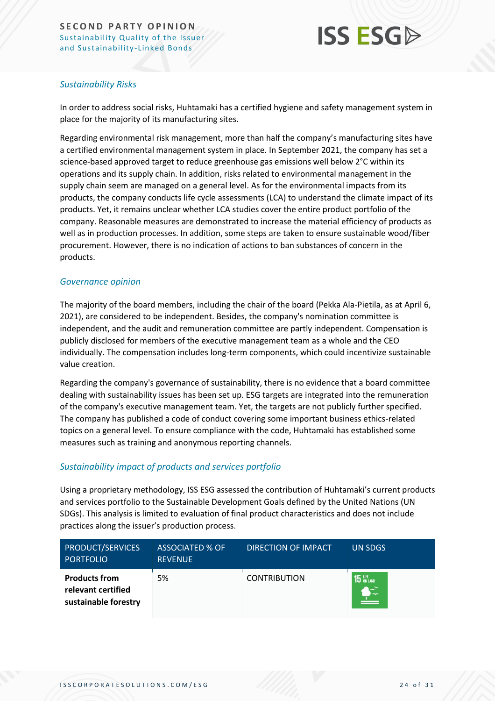

### *Sustainability Risks*

In order to address social risks, Huhtamaki has a certified hygiene and safety management system in place for the majority of its manufacturing sites.

Regarding environmental risk management, more than half the company's manufacturing sites have a certified environmental management system in place. In September 2021, the company has set a science-based approved target to reduce greenhouse gas emissions well below 2°C within its operations and its supply chain. In addition, risks related to environmental management in the supply chain seem are managed on a general level. As for the environmental impacts from its products, the company conducts life cycle assessments (LCA) to understand the climate impact of its products. Yet, it remains unclear whether LCA studies cover the entire product portfolio of the company. Reasonable measures are demonstrated to increase the material efficiency of products as well as in production processes. In addition, some steps are taken to ensure sustainable wood/fiber procurement. However, there is no indication of actions to ban substances of concern in the products.

#### *Governance opinion*

The majority of the board members, including the chair of the board (Pekka Ala-Pietila, as at April 6, 2021), are considered to be independent. Besides, the company's nomination committee is independent, and the audit and remuneration committee are partly independent. Compensation is publicly disclosed for members of the executive management team as a whole and the CEO individually. The compensation includes long-term components, which could incentivize sustainable value creation.

Regarding the company's governance of sustainability, there is no evidence that a board committee dealing with sustainability issues has been set up. ESG targets are integrated into the remuneration of the company's executive management team. Yet, the targets are not publicly further specified. The company has published a code of conduct covering some important business ethics-related topics on a general level. To ensure compliance with the code, Huhtamaki has established some measures such as training and anonymous reporting channels.

#### *Sustainability impact of products and services portfolio*

Using a proprietary methodology, ISS ESG assessed the contribution of Huhtamaki's current products and services portfolio to the Sustainable Development Goals defined by the United Nations (UN SDGs). This analysis is limited to evaluation of final product characteristics and does not include practices along the issuer's production process.

| <b>PRODUCT/SERVICES</b><br><b>PORTFOLIO</b>                        | <b>ASSOCIATED % OF</b><br><b>REVENUE</b> | DIRECTION OF IMPACT | UN SDGS       |
|--------------------------------------------------------------------|------------------------------------------|---------------------|---------------|
| <b>Products from</b><br>relevant certified<br>sustainable forestry | 5%                                       | <b>CONTRIBUTION</b> | <b>15</b> UFE |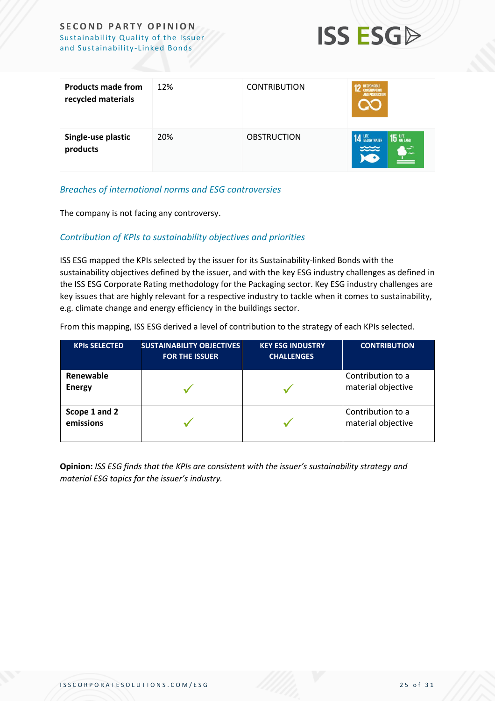

| <b>Products made from</b><br>recycled materials | 12% | <b>CONTRIBUTION</b> | <b>ESPONSIBLI</b><br><b>AND PRODUCTION</b>  |
|-------------------------------------------------|-----|---------------------|---------------------------------------------|
| Single-use plastic<br>products                  | 20% | <b>OBSTRUCTION</b>  | <b>14 LIFE</b> BELOW WATER<br><b>15</b> UFE |

#### *Breaches of international norms and ESG controversies*

The company is not facing any controversy.

#### *Contribution of KPIs to sustainability objectives and priorities*

ISS ESG mapped the KPIs selected by the issuer for its Sustainability-linked Bonds with the sustainability objectives defined by the issuer, and with the key ESG industry challenges as defined in the ISS ESG Corporate Rating methodology for the Packaging sector. Key ESG industry challenges are key issues that are highly relevant for a respective industry to tackle when it comes to sustainability, e.g. climate change and energy efficiency in the buildings sector.

From this mapping, ISS ESG derived a level of contribution to the strategy of each KPIs selected.

| <b>KPIS SELECTED</b>       | <b>SUSTAINABILITY OBJECTIVES</b><br><b>FOR THE ISSUER</b> | <b>KEY ESG INDUSTRY</b><br><b>CHALLENGES</b> | <b>CONTRIBUTION</b>                     |
|----------------------------|-----------------------------------------------------------|----------------------------------------------|-----------------------------------------|
| Renewable<br><b>Energy</b> |                                                           |                                              | Contribution to a<br>material objective |
| Scope 1 and 2<br>emissions |                                                           |                                              | Contribution to a<br>material objective |

**Opinion:** *ISS ESG finds that the KPIs are consistent with the issuer's sustainability strategy and material ESG topics for the issuer's industry.*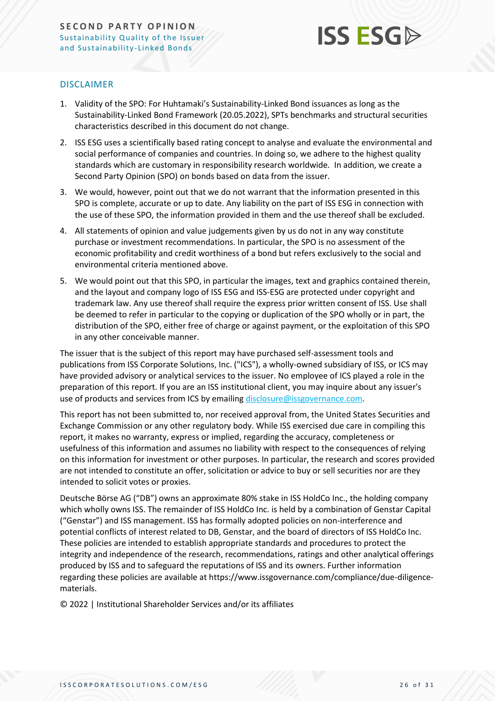

#### DISCLAIMER

- 1. Validity of the SPO: For Huhtamaki's Sustainability-Linked Bond issuances as long as the Sustainability-Linked Bond Framework (20.05.2022), SPTs benchmarks and structural securities characteristics described in this document do not change.
- 2. ISS ESG uses a scientifically based rating concept to analyse and evaluate the environmental and social performance of companies and countries. In doing so, we adhere to the highest quality standards which are customary in responsibility research worldwide. In addition, we create a Second Party Opinion (SPO) on bonds based on data from the issuer.
- 3. We would, however, point out that we do not warrant that the information presented in this SPO is complete, accurate or up to date. Any liability on the part of ISS ESG in connection with the use of these SPO, the information provided in them and the use thereof shall be excluded.
- 4. All statements of opinion and value judgements given by us do not in any way constitute purchase or investment recommendations. In particular, the SPO is no assessment of the economic profitability and credit worthiness of a bond but refers exclusively to the social and environmental criteria mentioned above.
- 5. We would point out that this SPO, in particular the images, text and graphics contained therein, and the layout and company logo of ISS ESG and ISS-ESG are protected under copyright and trademark law. Any use thereof shall require the express prior written consent of ISS. Use shall be deemed to refer in particular to the copying or duplication of the SPO wholly or in part, the distribution of the SPO, either free of charge or against payment, or the exploitation of this SPO in any other conceivable manner.

The issuer that is the subject of this report may have purchased self-assessment tools and publications from ISS Corporate Solutions, Inc. ("ICS"), a wholly-owned subsidiary of ISS, or ICS may have provided advisory or analytical services to the issuer. No employee of ICS played a role in the preparation of this report. If you are an ISS institutional client, you may inquire about any issuer's use of products and services from ICS by emailing [disclosure@issgovernance.com.](mailto:disclosure@issgovernance.com)

This report has not been submitted to, nor received approval from, the United States Securities and Exchange Commission or any other regulatory body. While ISS exercised due care in compiling this report, it makes no warranty, express or implied, regarding the accuracy, completeness or usefulness of this information and assumes no liability with respect to the consequences of relying on this information for investment or other purposes. In particular, the research and scores provided are not intended to constitute an offer, solicitation or advice to buy or sell securities nor are they intended to solicit votes or proxies.

Deutsche Börse AG ("DB") owns an approximate 80% stake in ISS HoldCo Inc., the holding company which wholly owns ISS. The remainder of ISS HoldCo Inc. is held by a combination of Genstar Capital ("Genstar") and ISS management. ISS has formally adopted policies on non-interference and potential conflicts of interest related to DB, Genstar, and the board of directors of ISS HoldCo Inc. These policies are intended to establish appropriate standards and procedures to protect the integrity and independence of the research, recommendations, ratings and other analytical offerings produced by ISS and to safeguard the reputations of ISS and its owners. Further information regarding these policies are available at https://www.issgovernance.com/compliance/due-diligencematerials.

© 2022 | Institutional Shareholder Services and/or its affiliates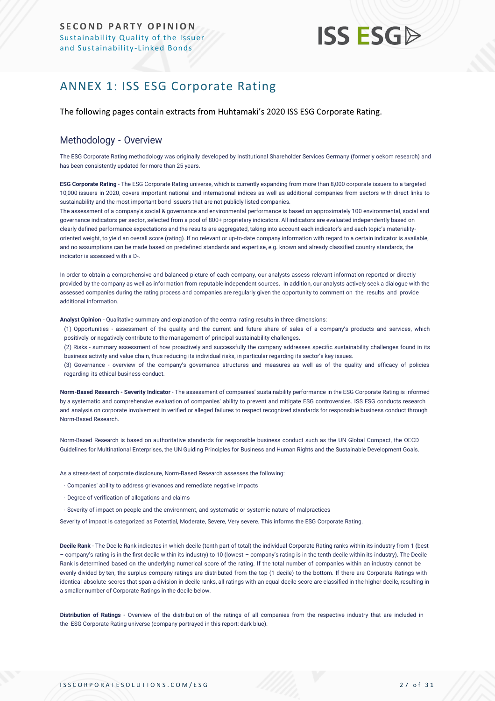## <span id="page-26-0"></span>ANNEX 1: ISS ESG Corporate Rating

The following pages contain extracts from Huhtamaki's 2020 ISS ESG Corporate Rating.

#### Methodology - Overview

The ESG Corporate Rating methodology was originally developed by Institutional Shareholder Services Germany (formerly oekom research) and has been consistently updated for more than 25 years.

**ESG Corporate Rating** - The ESG Corporate Rating universe, which is currently expanding from more than 8,000 corporate issuers to a targeted 10,000 issuers in 2020, covers important national and international indices as well as additional companies from sectors with direct links to sustainability and the most important bond issuers that are not publicly listed companies.

The assessment of a company's social & governance and environmental performance is based on approximately 100 environmental, social and governance indicators per sector, selected from a pool of 800+ proprietary indicators. All indicators are evaluated independently based on clearly defined performance expectations and the results are aggregated, taking into account each indicator's and each topic's materialityoriented weight, to yield an overall score (rating). If no relevant or up-to-date company information with regard to a certain indicator is available, and no assumptions can be made based on predefined standards and expertise, e.g. known and already classified country standards, the indicator is assessed with a D-.

In order to obtain a comprehensive and balanced picture of each company, our analysts assess relevant information reported or directly provided by the company as well as information from reputable independent sources. In addition, our analysts actively seek a dialogue with the assessed companies during the rating process and companies are regularly given the opportunity to comment on the results and provide additional information.

**Analyst Opinion** - Qualitative summary and explanation of the central rating results in three dimensions:

(1) Opportunities - assessment of the quality and the current and future share of sales of a company's products and services, which positively or negatively contribute to the management of principal sustainability challenges.

(2) Risks - summary assessment of how proactively and successfully the company addresses specific sustainability challenges found in its business activity and value chain, thus reducing its individual risks, in particular regarding its sector's key issues.

(3) Governance - overview of the company's governance structures and measures as well as of the quality and efficacy of policies regarding its ethical business conduct.

**Norm-Based Research - Severity Indicator** - The assessment of companies' sustainability performance in the ESG Corporate Rating is informed by a systematic and comprehensive evaluation of companies' ability to prevent and mitigate ESG controversies. ISS ESG conducts research and analysis on corporate [involvement in verified or alleged failures to respect recognized standards for responsible business conduct through](https://www.issgovernance.com/esg/screening/esg-screening-solutions/#nbr_techdoc_download)  [Norm-Based](https://www.issgovernance.com/esg/screening/esg-screening-solutions/#nbr_techdoc_download) Research.

Norm-Based Research is based on authoritative standards for responsible business conduct such as the UN Global Compact, the OECD Guidelines for Multinational Enterprises, the UN Guiding Principles for Business and Human Rights and the Sustainable Development Goals.

As a stress-test of corporate disclosure, Norm-Based Research assesses the following:

- Companies' ability to address grievances and remediate negative impacts
- Degree of verification of allegations and claims
- Severity of impact on people and the environment, and systematic or systemic nature of malpractices

Severity of impact is categorized as Potential, Moderate, Severe, Very severe. This informs the ESG Corporate Rating.

**Decile Rank** - The Decile Rank indicates in which decile (tenth part of total) the individual Corporate Rating ranks within its industry from 1 (best – company's rating is in the first decile within its industry) to 10 (lowest – company's rating is in the tenth decile within its industry). The Decile Rank is determined based on the underlying numerical score of the rating. If the total number of companies within an industry cannot be evenly divided by ten, the surplus company ratings are distributed from the top (1 decile) to the bottom. If there are Corporate Ratings with identical absolute scores that span a division in decile ranks, all ratings with an equal decile score are classified in the higher decile, resulting in a smaller number of Corporate Ratings in the decile below.

**Distribution of Ratings** - Overview of the distribution of the ratings of all companies from the respective industry that are included in the ESG Corporate Rating universe (company portrayed in this report: dark blue).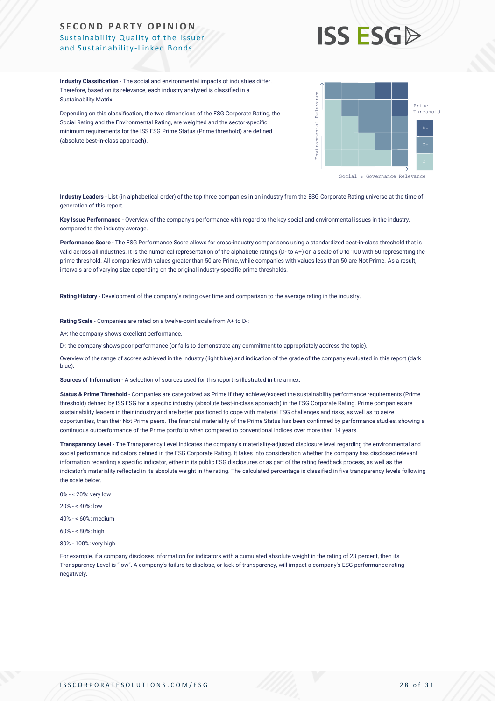

**Industry Classification** - The social and environmental impacts of industries differ. Therefore, based on its relevance, each industry analyzed is classified in a Sustainability Matrix.

Depending on this classification, the two dimensions of the ESG Corporate Rating, the Social Rating and the Environmental Rating, are weighted and the sector-specific minimum requirements for the ISS ESG Prime Status (Prime threshold) are defined (absolute best-in-class approach).



Social & Governance Relevance

**Industry Leaders** - List (in alphabetical order) of the top three companies in an industry from the ESG Corporate Rating universe at the time of generation of this report.

**Key Issue Performance** - Overview of the company's performance with regard to the key social and environmental issues in the industry, compared to the industry average.

**Performance Score** - The ESG Performance Score allows for cross-industry comparisons using a standardized best-in-class threshold that is valid across all industries. It is the numerical representation of the alphabetic ratings (D- to A+) on a scale of 0 to 100 with 50 representing the prime threshold. All companies with values greater than 50 are Prime, while companies with values less than 50 are Not Prime. As a result, intervals are of varying size depending on the original industry-specific prime thresholds.

**Rating History** - Development of the company's rating over time and comparison to the average rating in the industry.

**Rating Scale** - Companies are rated on a twelve-point scale from A+ to D-:

A+: the company shows excellent performance.

D-: the company shows poor performance (or fails to demonstrate any commitment to appropriately address the topic).

Overview of the range of scores achieved in the industry (light blue) and indication of the grade of the company evaluated in this report (dark blue).

**Sources of Information** - A selection of sources used for this report is illustrated in the annex.

**Status & Prime Threshold** - Companies are categorized as Prime if they achieve/exceed the sustainability performance requirements (Prime threshold) defined by ISS ESG for a specific industry (absolute best-in-class approach) in the ESG Corporate Rating. Prime companies are sustainability leaders in their industry and are better positioned to cope with material ESG challenges and risks, as well as to seize opportunities, than their Not Prime peers. The financial materiality of the Prime Status has been confirmed by performance studies, showing a continuous outperformance of the Prime portfolio when compared to conventional indices over more than 14 years.

**Transparency Level** - The Transparency Level indicates the company's materiality-adjusted disclosure level regarding the environmental and social performance indicators defined in the ESG Corporate Rating. It takes into consideration whether the company has disclosed relevant information regarding a specific indicator, either in its public ESG disclosures or as part of the rating feedback process, as well as the indicator's materiality reflected in its absolute weight in the rating. The calculated percentage is classified in five transparency levels following the scale below.

- 0% < 20%: very low
- 20% < 40%: low

40% - < 60%: medium

60% - < 80%: high

80% - 100%: very high

For example, if a company discloses information for indicators with a cumulated absolute weight in the rating of 23 percent, then its Transparency Level is "low". A company's failure to disclose, or lack of transparency, will impact a company's ESG performance rating negatively.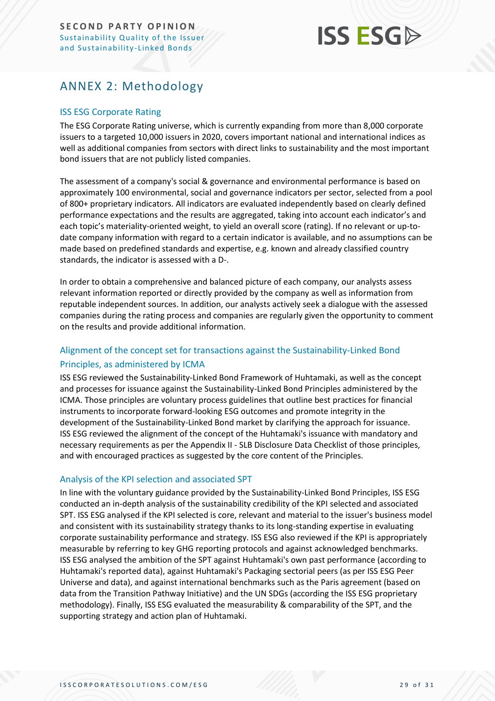## <span id="page-28-0"></span>ANNEX 2: Methodology

#### ISS ESG Corporate Rating

The ESG Corporate Rating universe, which is currently expanding from more than 8,000 corporate issuers to a targeted 10,000 issuers in 2020, covers important national and international indices as well as additional companies from sectors with direct links to sustainability and the most important bond issuers that are not publicly listed companies.

The assessment of a company's social & governance and environmental performance is based on approximately 100 environmental, social and governance indicators per sector, selected from a pool of 800+ proprietary indicators. All indicators are evaluated independently based on clearly defined performance expectations and the results are aggregated, taking into account each indicator's and each topic's materiality-oriented weight, to yield an overall score (rating). If no relevant or up-todate company information with regard to a certain indicator is available, and no assumptions can be made based on predefined standards and expertise, e.g. known and already classified country standards, the indicator is assessed with a D-.

In order to obtain a comprehensive and balanced picture of each company, our analysts assess relevant information reported or directly provided by the company as well as information from reputable independent sources. In addition, our analysts actively seek a dialogue with the assessed companies during the rating process and companies are regularly given the opportunity to comment on the results and provide additional information.

### Alignment of the concept set for transactions against the Sustainability-Linked Bond Principles, as administered by ICMA

ISS ESG reviewed the Sustainability-Linked Bond Framework of Huhtamaki, as well as the concept and processes for issuance against the Sustainability-Linked Bond Principles administered by the ICMA. Those principles are voluntary process guidelines that outline best practices for financial instruments to incorporate forward-looking ESG outcomes and promote integrity in the development of the Sustainability-Linked Bond market by clarifying the approach for issuance. ISS ESG reviewed the alignment of the concept of the Huhtamaki's issuance with mandatory and necessary requirements as per the Appendix II - SLB Disclosure Data Checklist of those principles, and with encouraged practices as suggested by the core content of the Principles.

#### Analysis of the KPI selection and associated SPT

In line with the voluntary guidance provided by the Sustainability-Linked Bond Principles, ISS ESG conducted an in-depth analysis of the sustainability credibility of the KPI selected and associated SPT. ISS ESG analysed if the KPI selected is core, relevant and material to the issuer's business model and consistent with its sustainability strategy thanks to its long-standing expertise in evaluating corporate sustainability performance and strategy. ISS ESG also reviewed if the KPI is appropriately measurable by referring to key GHG reporting protocols and against acknowledged benchmarks. ISS ESG analysed the ambition of the SPT against Huhtamaki's own past performance (according to Huhtamaki's reported data), against Huhtamaki's Packaging sectorial peers (as per ISS ESG Peer Universe and data), and against international benchmarks such as the Paris agreement (based on data from the Transition Pathway Initiative) and the UN SDGs (according the ISS ESG proprietary methodology). Finally, ISS ESG evaluated the measurability & comparability of the SPT, and the supporting strategy and action plan of Huhtamaki.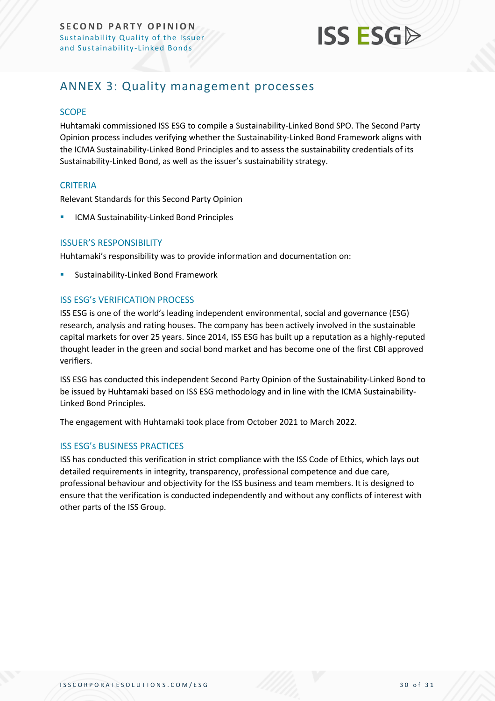

### <span id="page-29-0"></span>ANNEX 3: Quality management processes

#### **SCOPE**

Huhtamaki commissioned ISS ESG to compile a Sustainability-Linked Bond SPO. The Second Party Opinion process includes verifying whether the Sustainability-Linked Bond Framework aligns with the ICMA Sustainability-Linked Bond Principles and to assess the sustainability credentials of its Sustainability-Linked Bond, as well as the issuer's sustainability strategy.

#### **CRITERIA**

Relevant Standards for this Second Party Opinion

ICMA Sustainability-Linked Bond Principles

#### ISSUER'S RESPONSIBILITY

Huhtamaki's responsibility was to provide information and documentation on:

Sustainability-Linked Bond Framework

#### ISS ESG's VERIFICATION PROCESS

ISS ESG is one of the world's leading independent environmental, social and governance (ESG) research, analysis and rating houses. The company has been actively involved in the sustainable capital markets for over 25 years. Since 2014, ISS ESG has built up a reputation as a highly-reputed thought leader in the green and social bond market and has become one of the first CBI approved verifiers.

ISS ESG has conducted this independent Second Party Opinion of the Sustainability-Linked Bond to be issued by Huhtamaki based on ISS ESG methodology and in line with the ICMA Sustainability-Linked Bond Principles.

The engagement with Huhtamaki took place from October 2021 to March 2022.

#### ISS ESG's BUSINESS PRACTICES

ISS has conducted this verification in strict compliance with the ISS Code of Ethics, which lays out detailed requirements in integrity, transparency, professional competence and due care, professional behaviour and objectivity for the ISS business and team members. It is designed to ensure that the verification is conducted independently and without any conflicts of interest with other parts of the ISS Group.